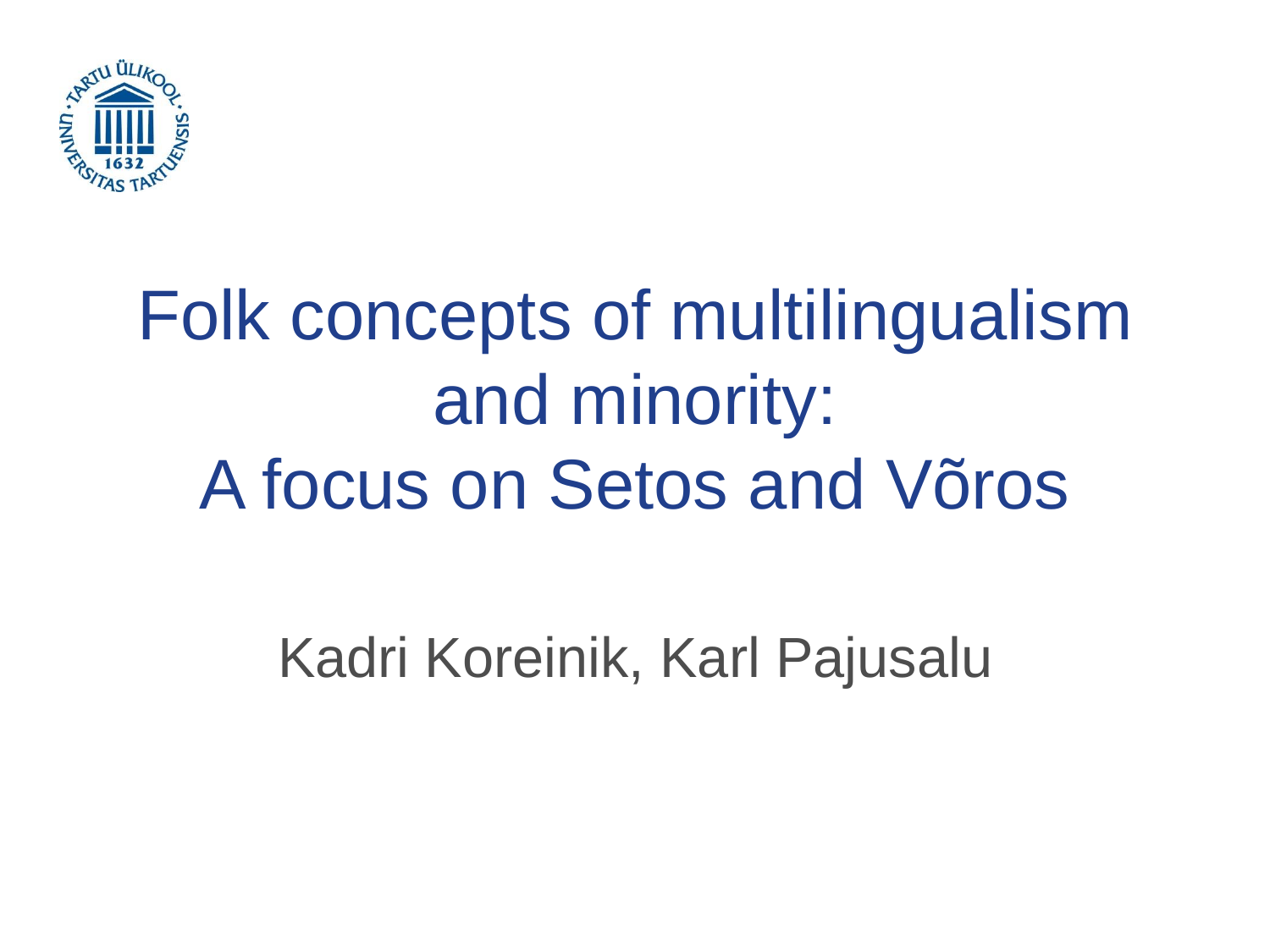

## Folk concepts of multilingualism and minority: A focus on Setos and Võros

Kadri Koreinik, Karl Pajusalu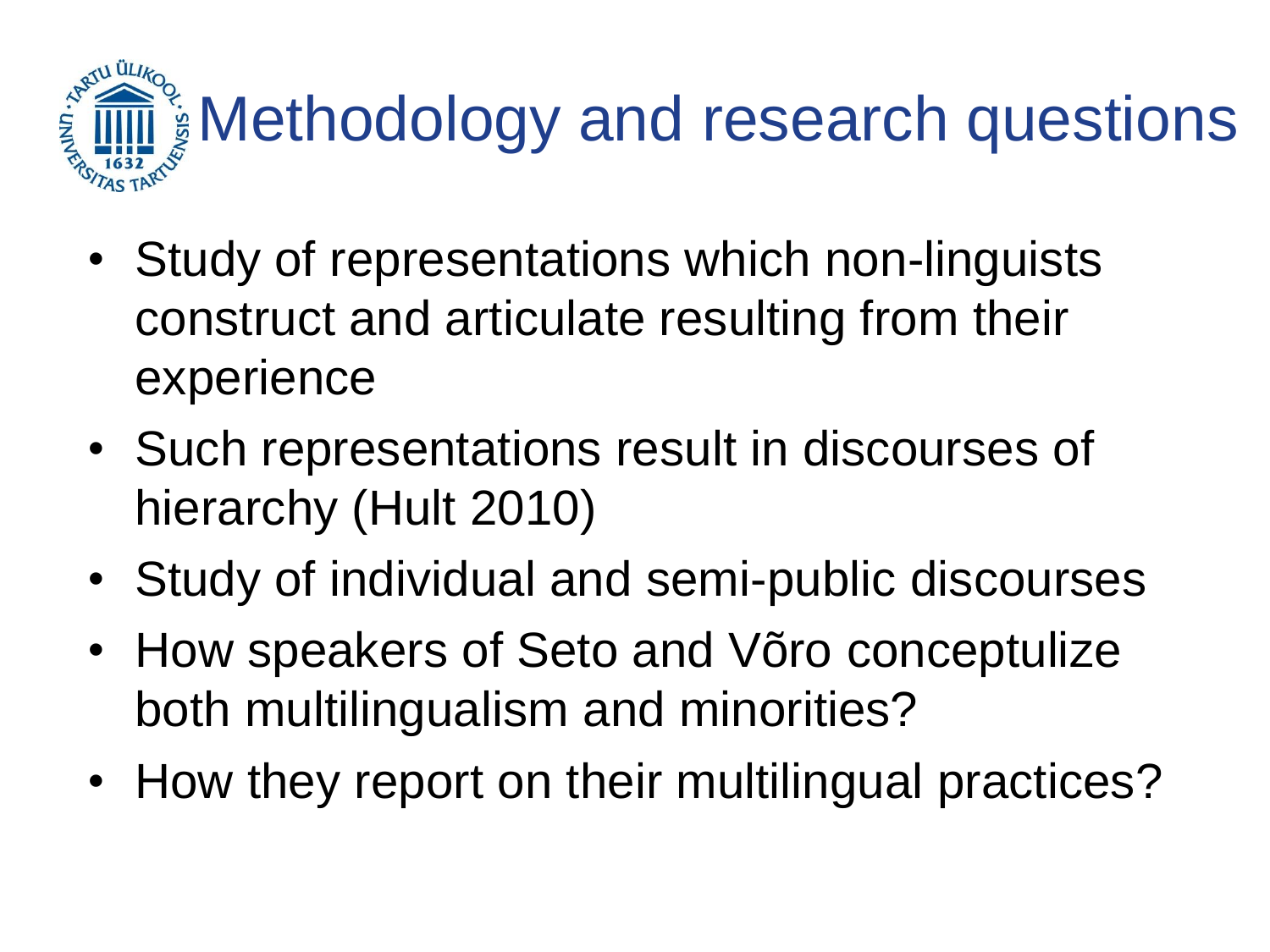

- Study of representations which non-linguists construct and articulate resulting from their experience
- Such representations result in discourses of hierarchy (Hult 2010)
- Study of individual and semi-public discourses
- How speakers of Seto and Võro conceptulize both multilingualism and minorities?
- How they report on their multilingual practices?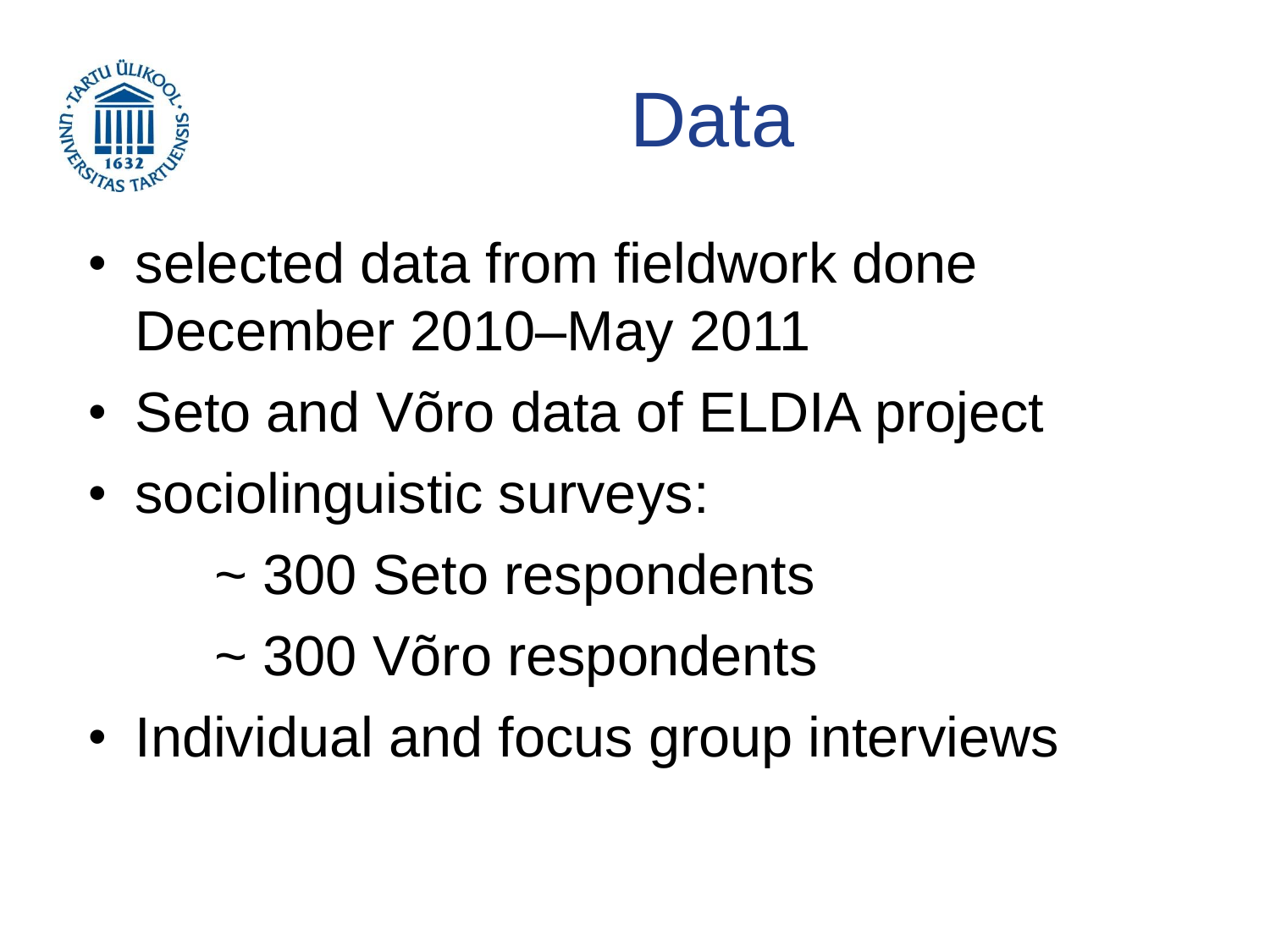



- selected data from fieldwork done December 2010–May 2011
- Seto and Võro data of ELDIA project
- sociolinguistic surveys:
	- ~ 300 Seto respondents
	- ~ 300 Võro respondents
- Individual and focus group interviews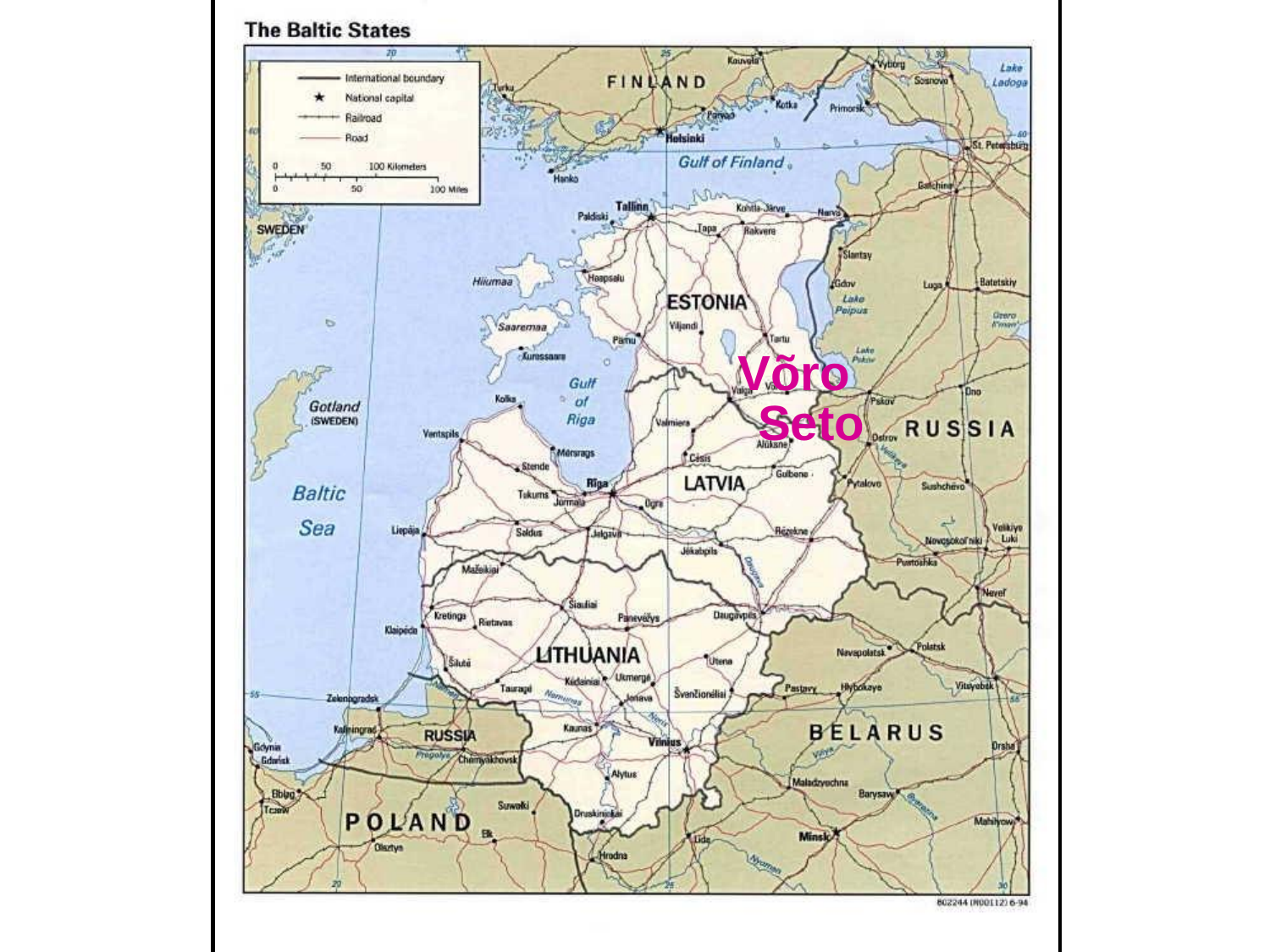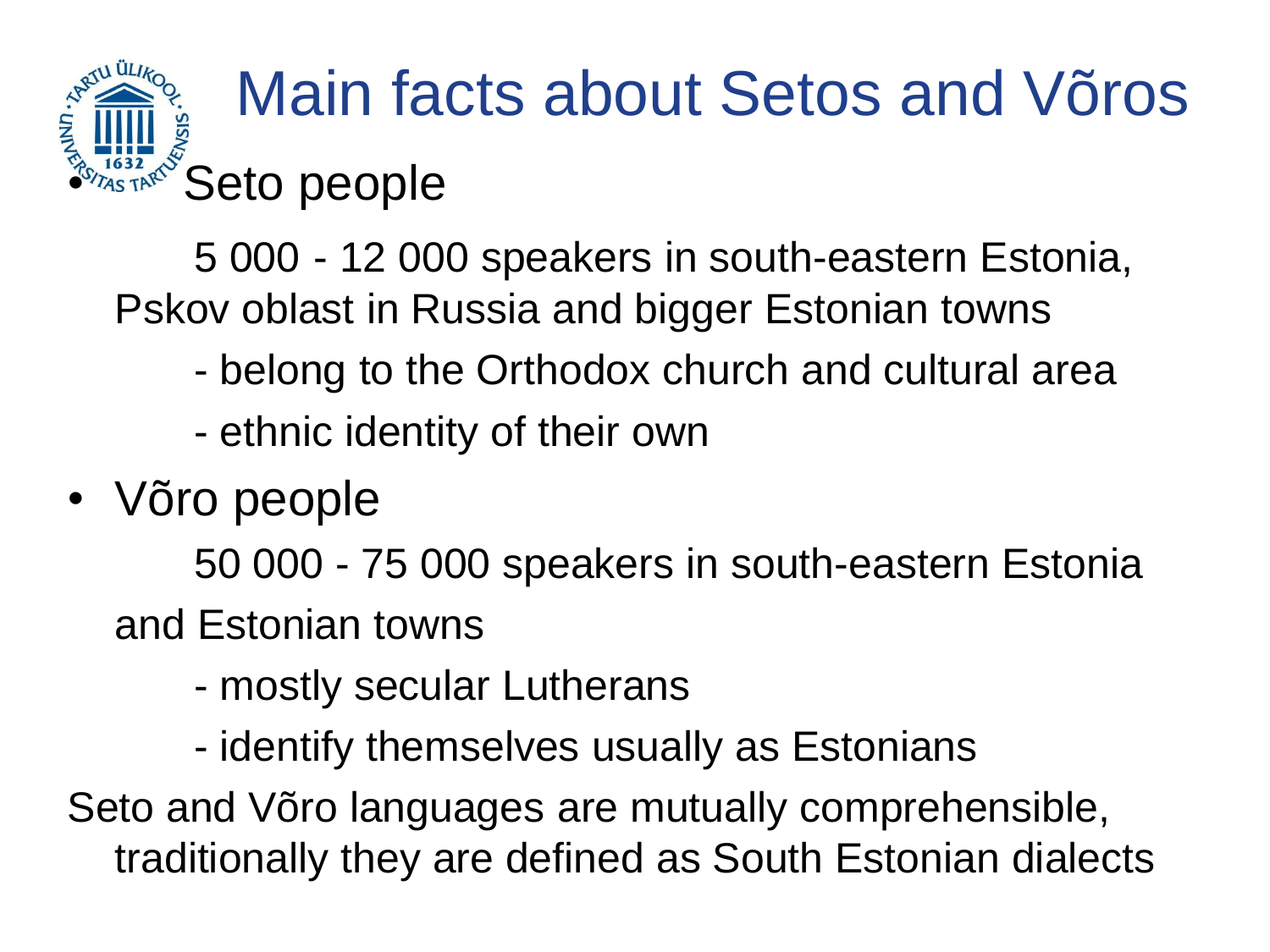#### **ENRILL ULLI** Main facts about Setos and Võros Seto people

5 000 - 12 000 speakers in south-eastern Estonia, Pskov oblast in Russia and bigger Estonian towns

- belong to the Orthodox church and cultural area
- ethnic identity of their own
- Võro people

50 000 - 75 000 speakers in south-eastern Estonia and Estonian towns

- mostly secular Lutherans
- identify themselves usually as Estonians

Seto and Võro languages are mutually comprehensible, traditionally they are defined as South Estonian dialects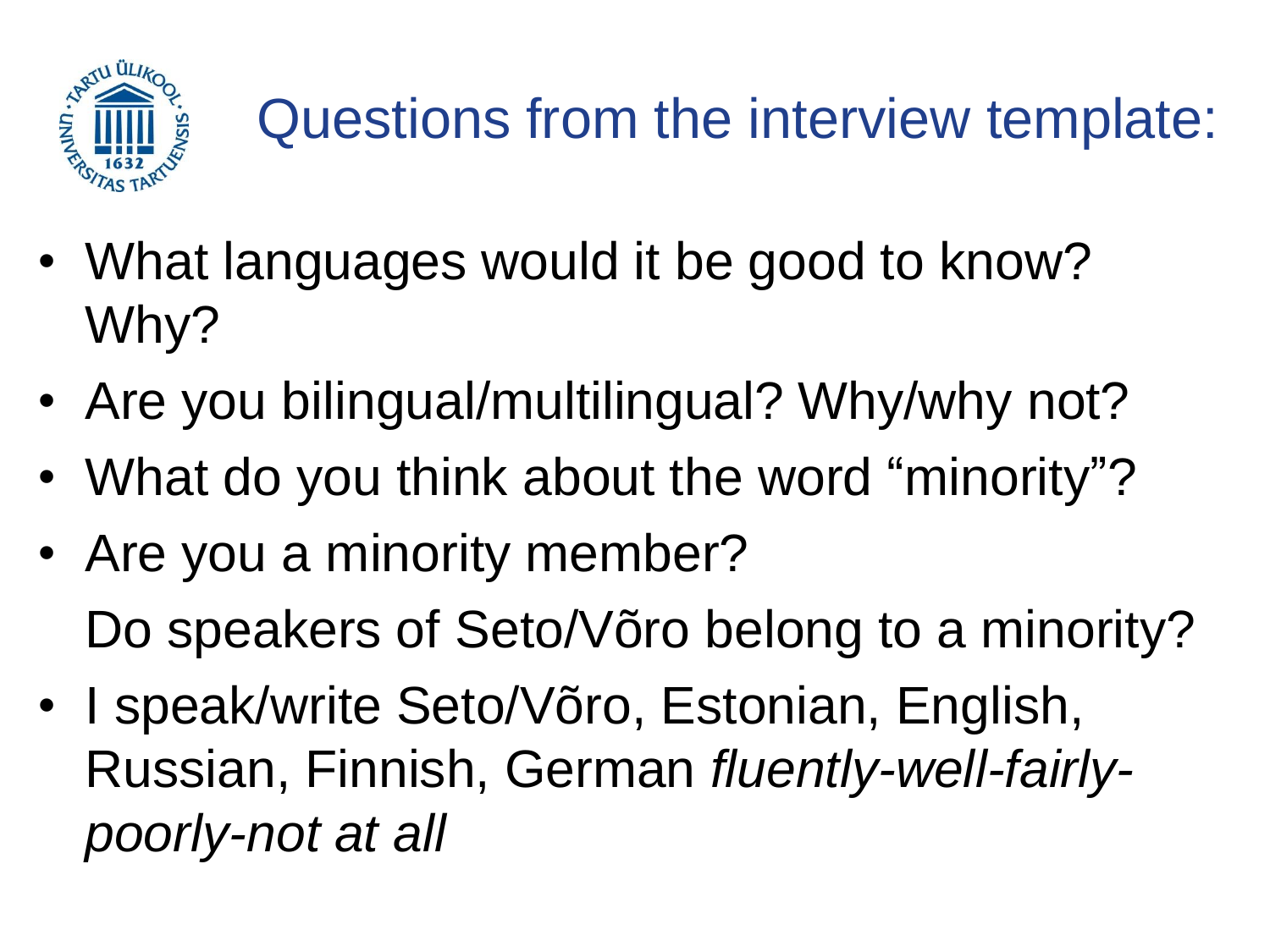

- What languages would it be good to know? Why?
- Are you bilingual/multilingual? Why/why not?
- What do you think about the word "minority"?
- Are you a minority member? Do speakers of Seto/Võro belong to a minority?
- I speak/write Seto/Võro, Estonian, English, Russian, Finnish, German *fluently-well-fairlypoorly-not at all*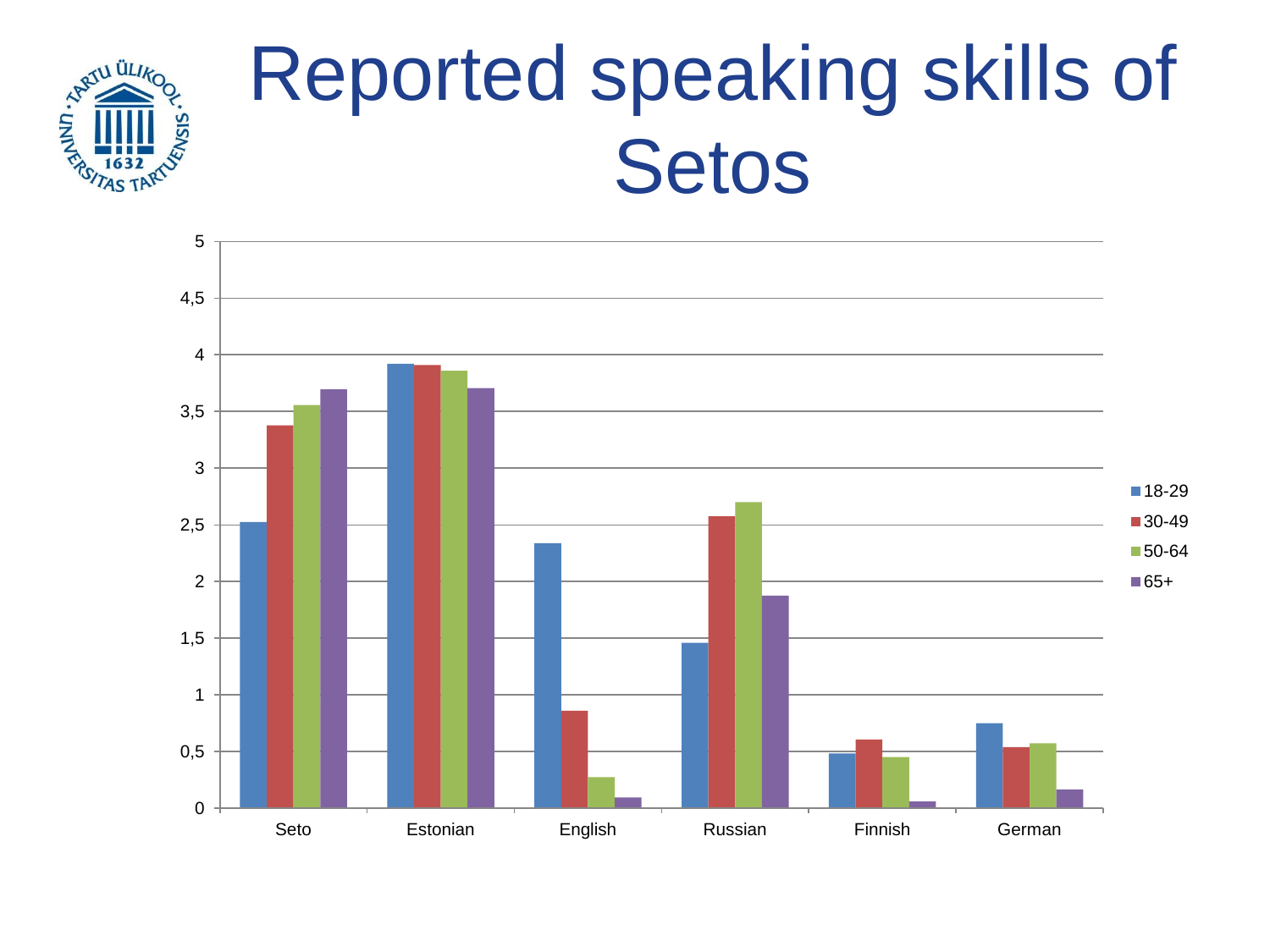

# Reported speaking skills of Setos

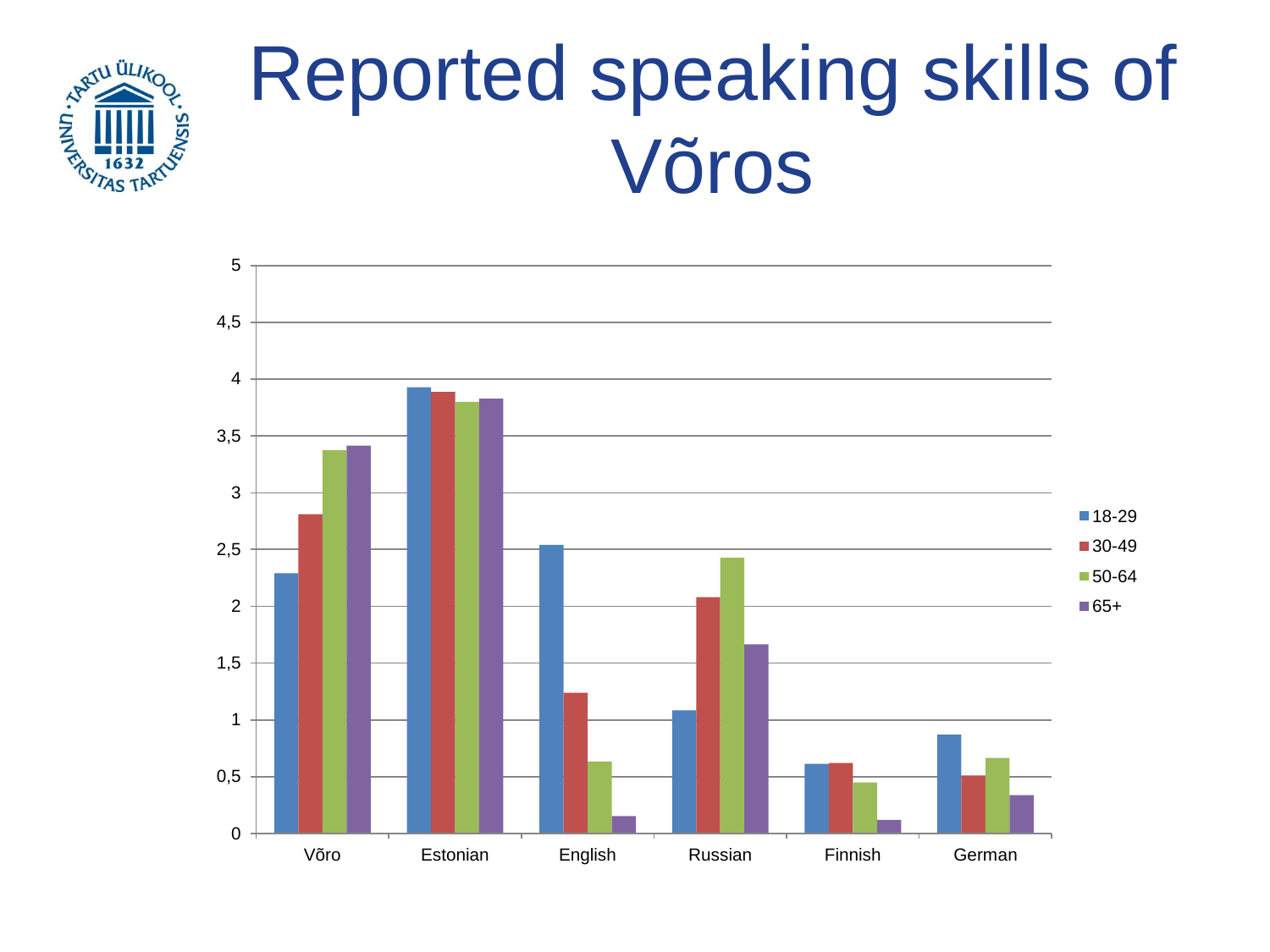

# Reported speaking skills of Võros

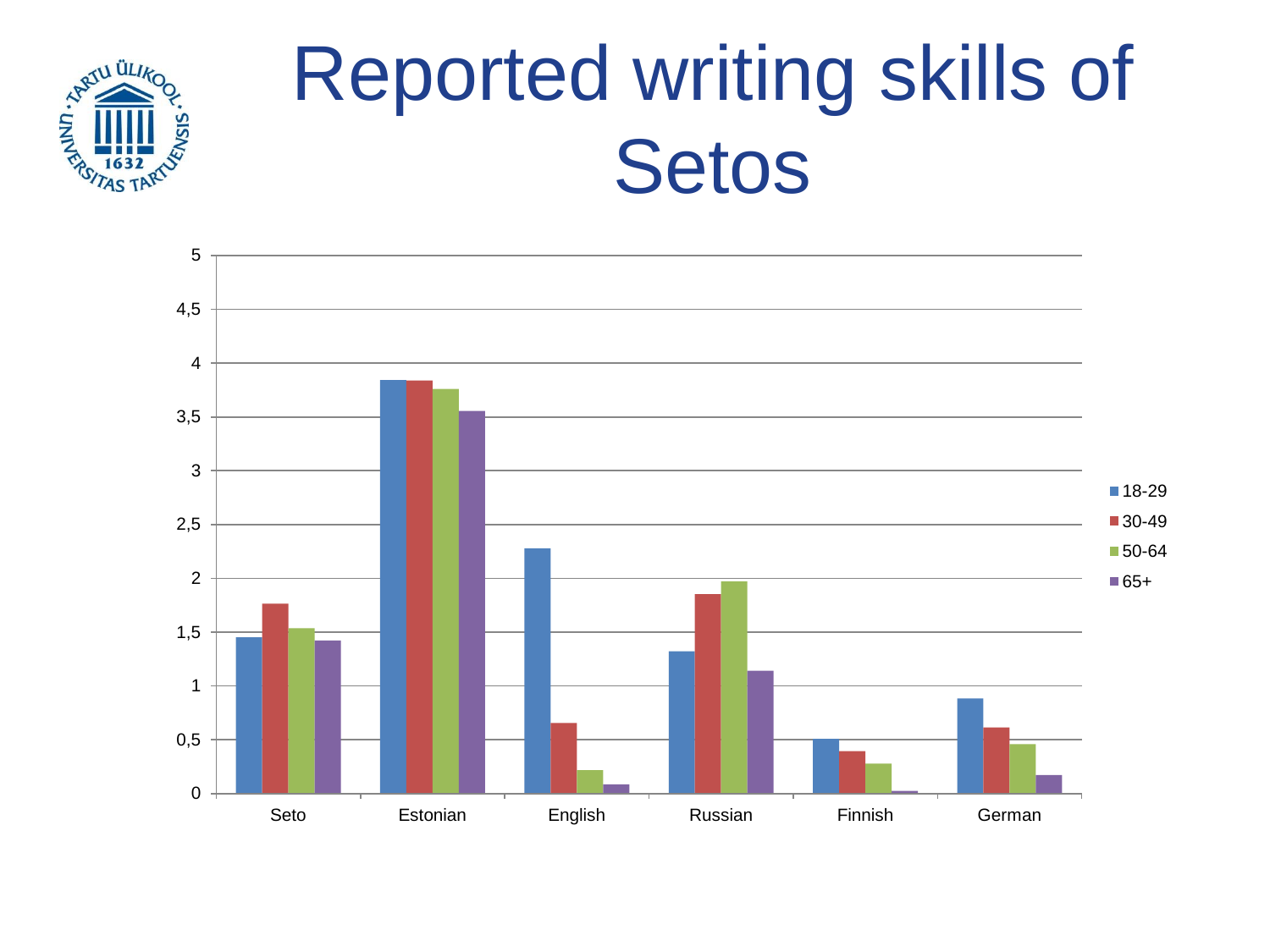

# Reported writing skills of Setos

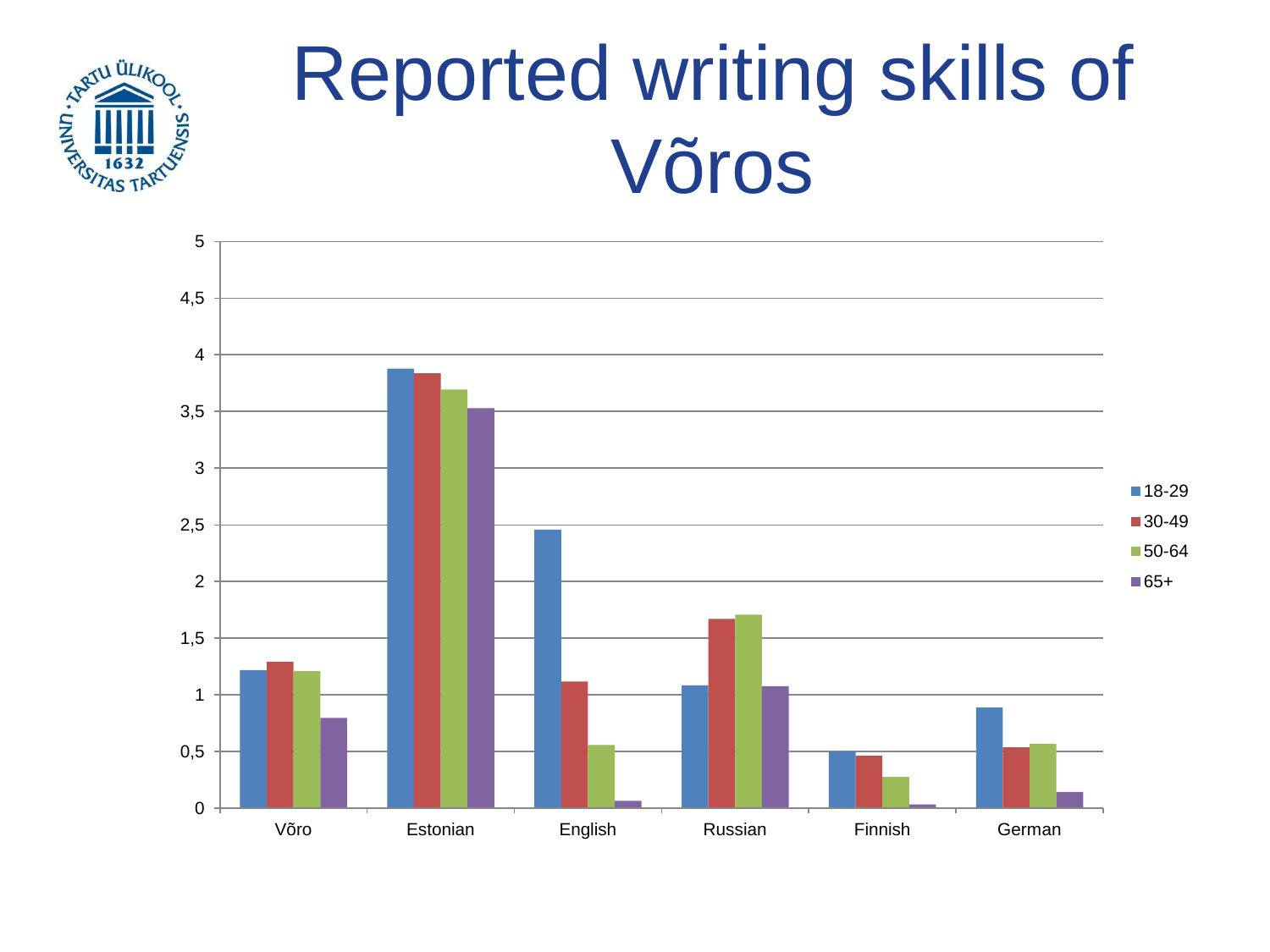

# Reported writing skills of Võros

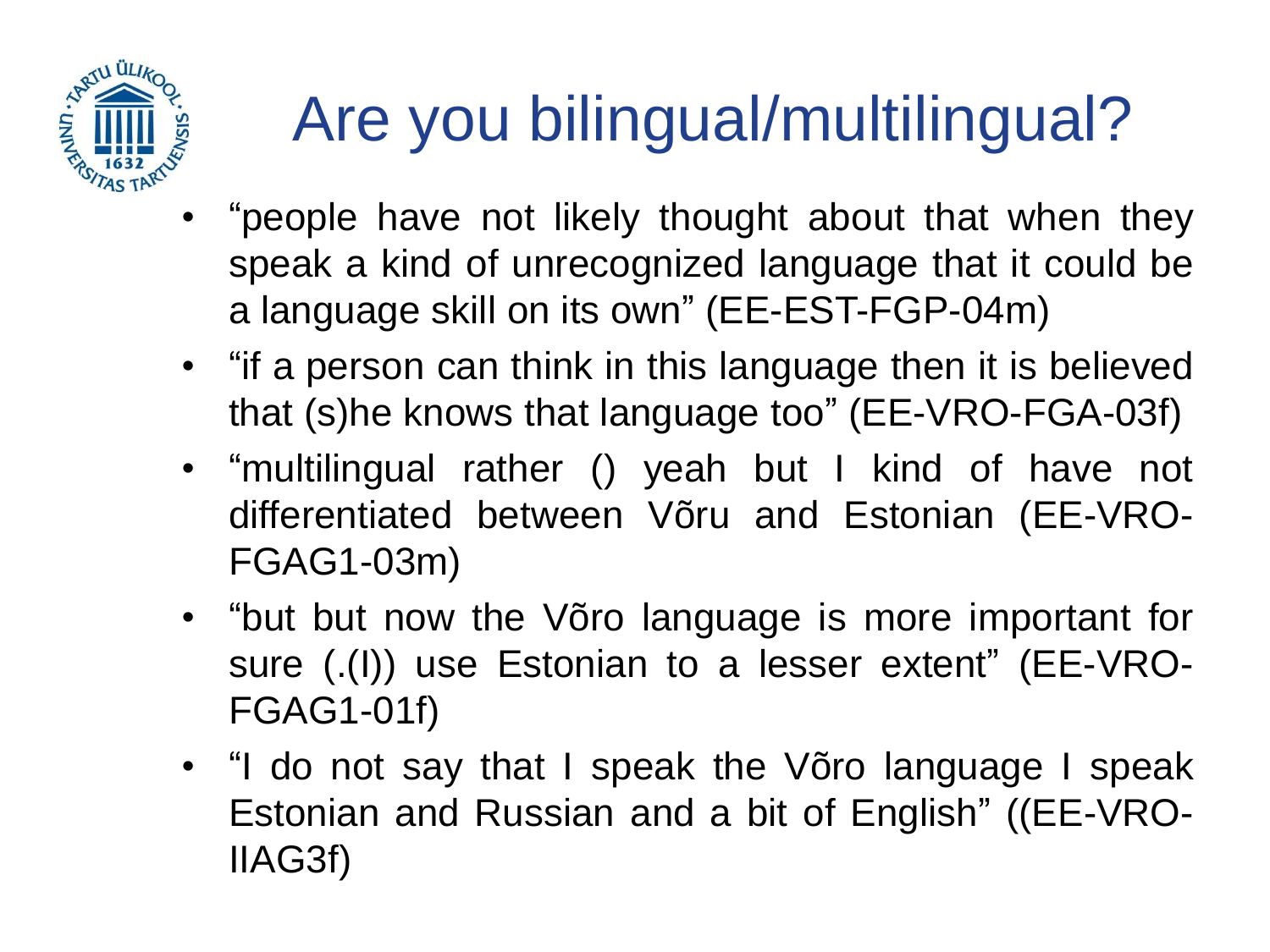

## Are you bilingual/multilingual?

- "people have not likely thought about that when they speak a kind of unrecognized language that it could be a language skill on its own" (EE-EST-FGP-04m)
- "if a person can think in this language then it is believed that (s)he knows that language too" (EE-VRO-FGA-03f)
- "multilingual rather () yeah but I kind of have not differentiated between Võru and Estonian (EE-VRO-FGAG1-03m)
- "but but now the Võro language is more important for sure (.(I)) use Estonian to a lesser extent" (EE-VRO-FGAG1-01f)
- "I do not say that I speak the Võro language I speak Estonian and Russian and a bit of English" ((EE-VRO-IIAG3f)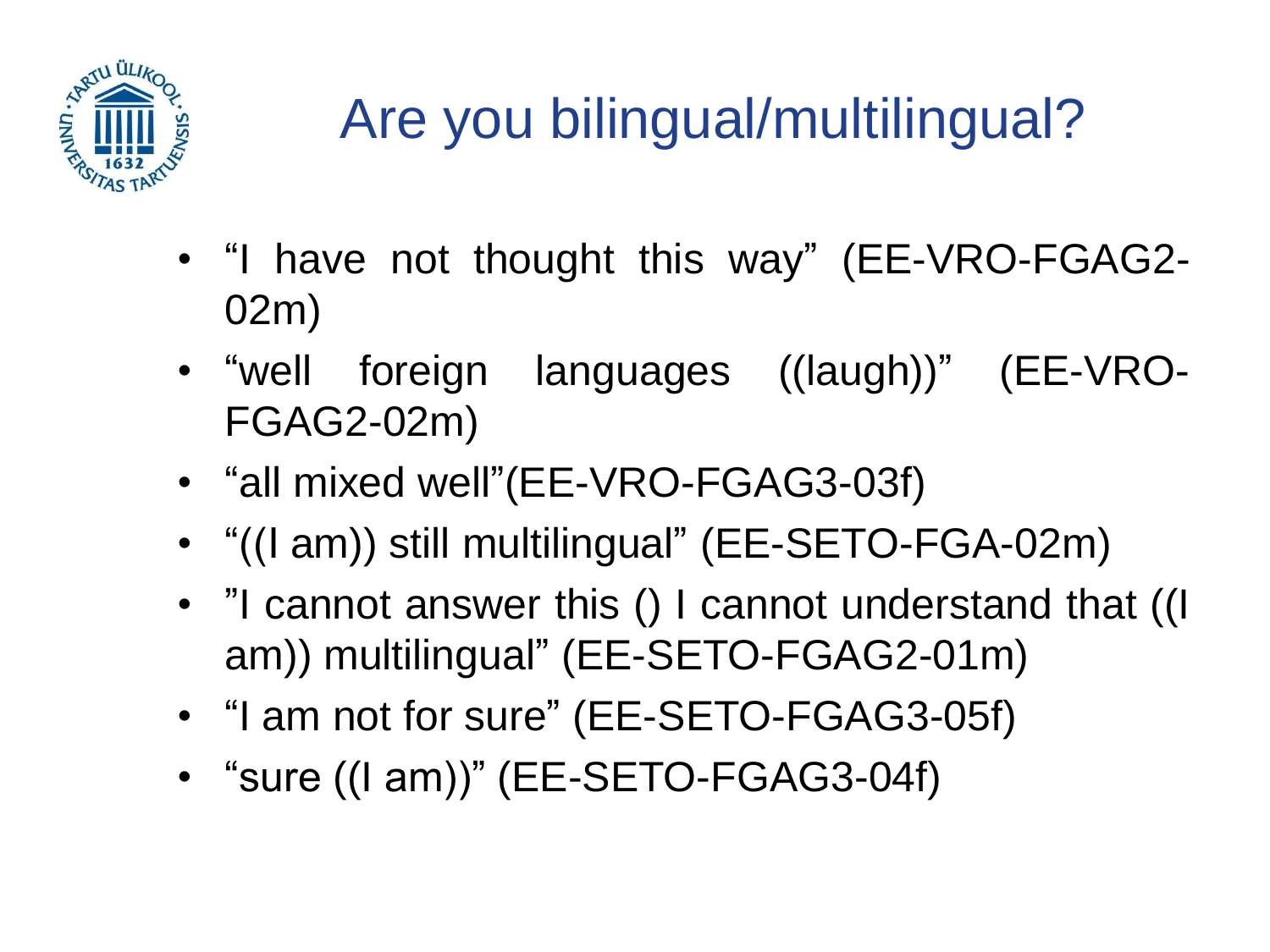

#### Are you bilingual/multilingual?

- "I have not thought this way" (EE-VRO-FGAG2- 02m)
- "well foreign languages ((laugh))" (EE-VRO-FGAG2-02m)
- "all mixed well"(EE-VRO-FGAG3-03f)
- "((I am)) still multilingual" (EE-SETO-FGA-02m)
- "I cannot answer this () I cannot understand that ((I am)) multilingual" (EE-SETO-FGAG2-01m)
- "I am not for sure" (EE-SETO-FGAG3-05f)
- "sure ((I am))" (EE-SETO-FGAG3-04f)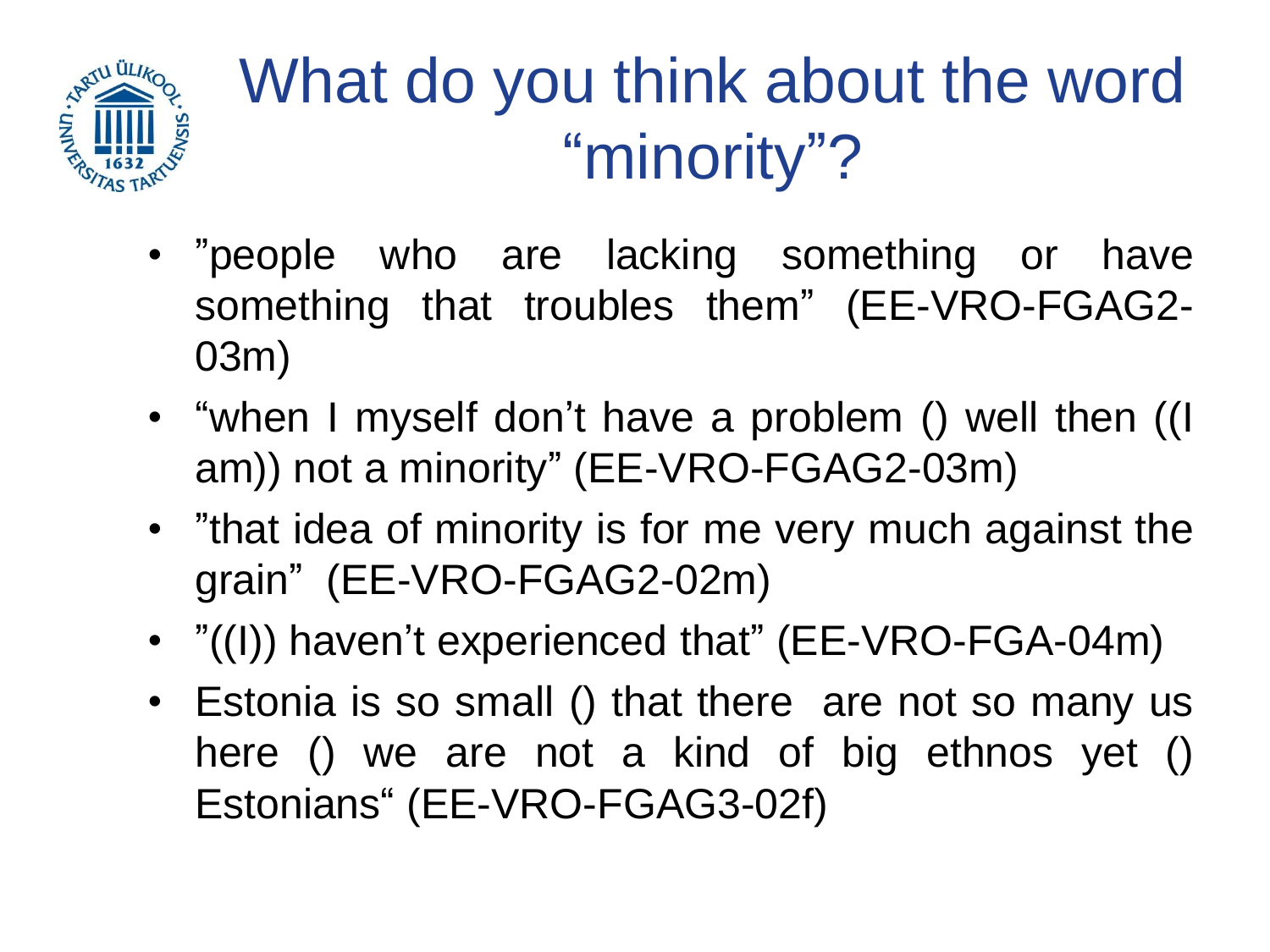

### What do you think about the word "minority"?

- "people who are lacking something or have something that troubles them" (EE-VRO-FGAG2- 03m)
- "when I myself don't have a problem () well then ((I am)) not a minority" (EE-VRO-FGAG2-03m)
- "that idea of minority is for me very much against the grain" (EE-VRO-FGAG2-02m)
- "((I)) haven't experienced that" (EE-VRO-FGA-04m)
- Estonia is so small () that there are not so many us here () we are not a kind of big ethnos yet () Estonians" (EE-VRO-FGAG3-02f)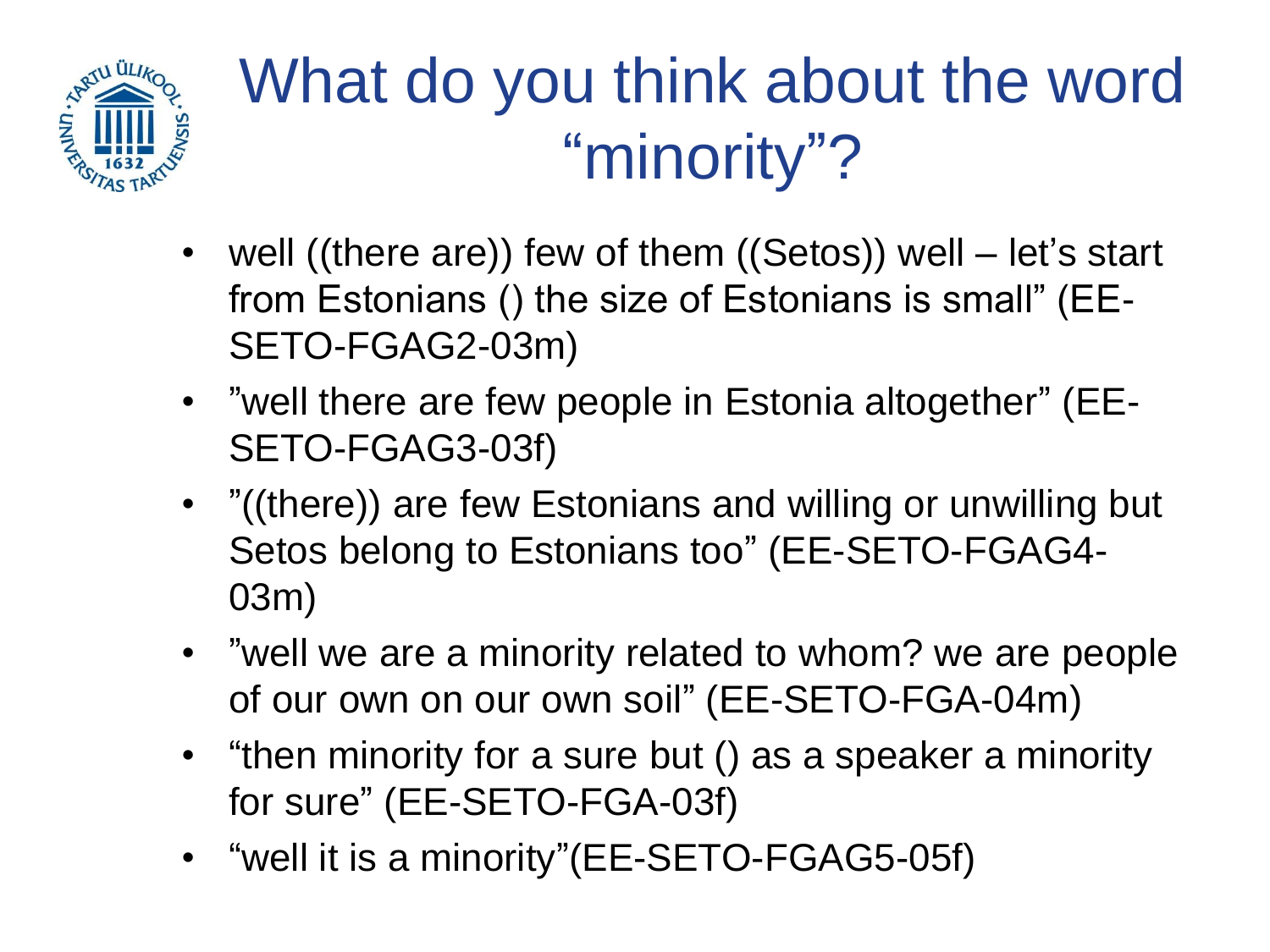

## What do you think about the word "minority"?

- well ((there are)) few of them ((Setos)) well let's start from Estonians () the size of Estonians is small" (EE-SETO-FGAG2-03m)
- "well there are few people in Estonia altogether" (EE-SETO-FGAG3-03f)
- "((there)) are few Estonians and willing or unwilling but Setos belong to Estonians too" (EE-SETO-FGAG4- 03m)
- "well we are a minority related to whom? we are people of our own on our own soil" (EE-SETO-FGA-04m)
- "then minority for a sure but () as a speaker a minority for sure" (EE-SETO-FGA-03f)
- "well it is a minority"(EE-SETO-FGAG5-05f)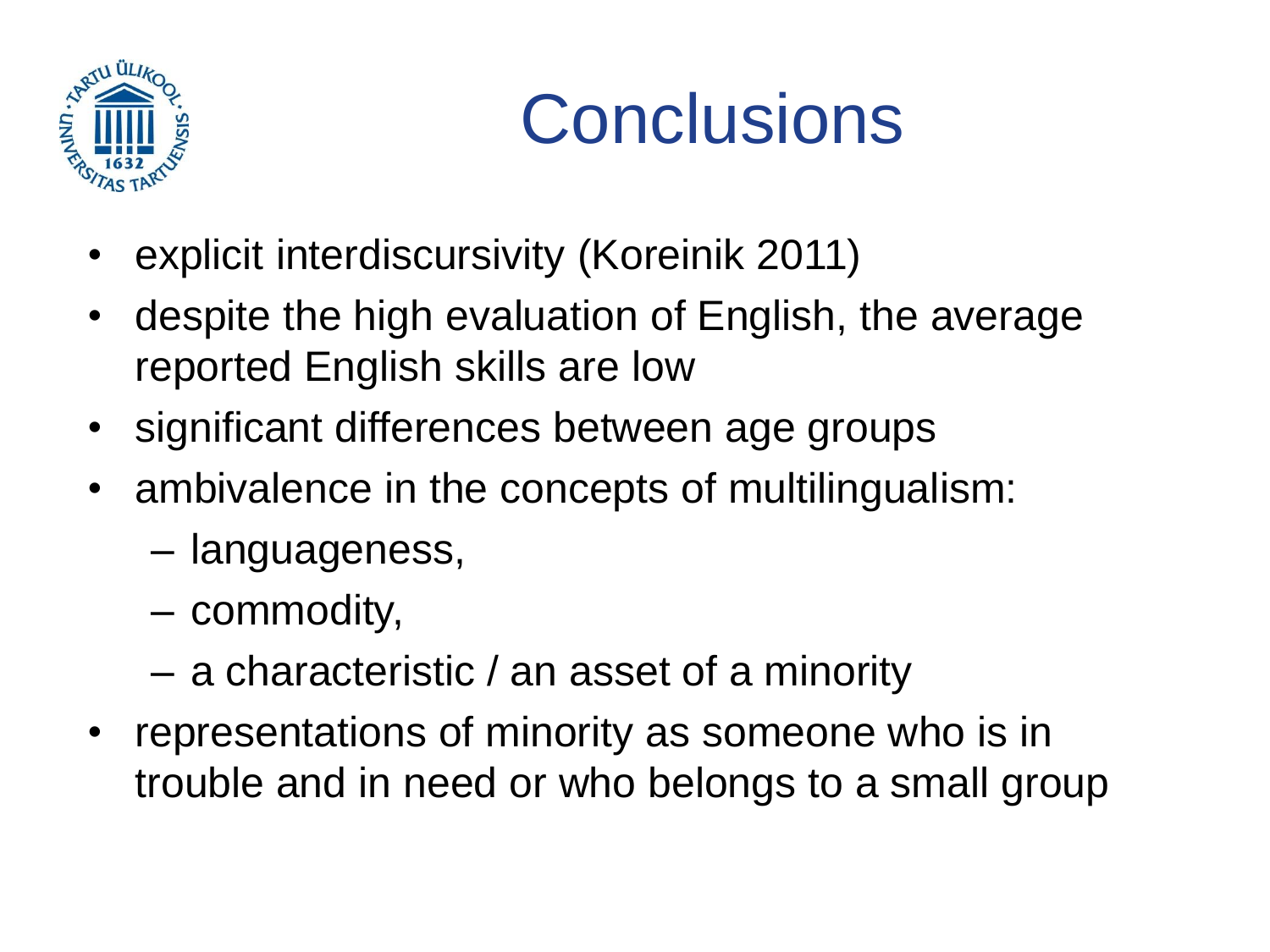

## **Conclusions**

- explicit interdiscursivity (Koreinik 2011)
- despite the high evaluation of English, the average reported English skills are low
- significant differences between age groups
- ambivalence in the concepts of multilingualism:
	- languageness,
	- commodity,
	- a characteristic / an asset of a minority
- representations of minority as someone who is in trouble and in need or who belongs to a small group